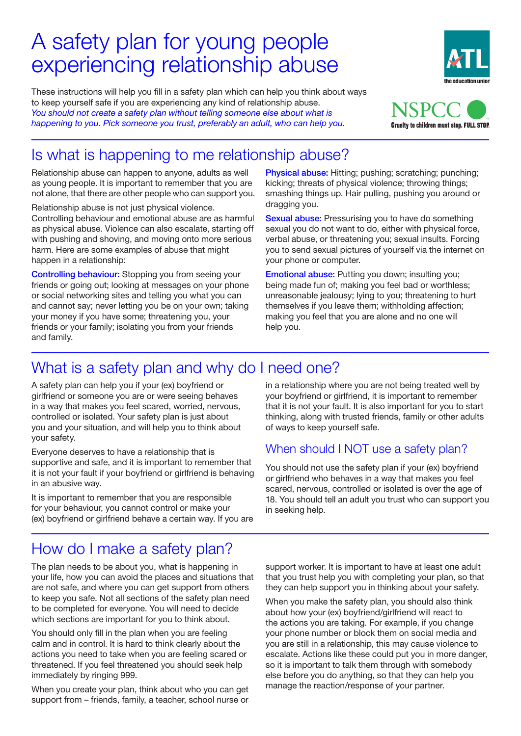# A safety plan for young people experiencing relationship abuse

These instructions will help you fill in a safety plan which can help you think about ways to keep yourself safe if you are experiencing any kind of relationship abuse. *You should not create a safety plan without telling someone else about what is happening to you. Pick someone you trust, preferably an adult, who can help you.*



the education union

# Is what is happening to me relationship abuse?

Relationship abuse can happen to anyone, adults as well as young people. It is important to remember that you are not alone, that there are other people who can support you.

Relationship abuse is not just physical violence. Controlling behaviour and emotional abuse are as harmful as physical abuse. Violence can also escalate, starting off with pushing and shoving, and moving onto more serious harm. Here are some examples of abuse that might happen in a relationship:

Controlling behaviour: Stopping you from seeing your friends or going out; looking at messages on your phone or social networking sites and telling you what you can and cannot say; never letting you be on your own; taking your money if you have some; threatening you, your friends or your family; isolating you from your friends and family.

Physical abuse: Hitting; pushing; scratching; punching; kicking; threats of physical violence; throwing things; smashing things up. Hair pulling, pushing you around or dragging you.

Sexual abuse: Pressurising you to have do something sexual you do not want to do, either with physical force, verbal abuse, or threatening you; sexual insults. Forcing you to send sexual pictures of yourself via the internet on your phone or computer.

Emotional abuse: Putting you down; insulting you; being made fun of; making you feel bad or worthless; unreasonable jealousy; lying to you; threatening to hurt themselves if you leave them; withholding affection; making you feel that you are alone and no one will help you.

## What is a safety plan and why do I need one?

A safety plan can help you if your (ex) boyfriend or girlfriend or someone you are or were seeing behaves in a way that makes you feel scared, worried, nervous, controlled or isolated. Your safety plan is just about you and your situation, and will help you to think about your safety.

Everyone deserves to have a relationship that is supportive and safe, and it is important to remember that it is not your fault if your boyfriend or girlfriend is behaving in an abusive way.

It is important to remember that you are responsible for your behaviour, you cannot control or make your (ex) boyfriend or girlfriend behave a certain way. If you are in a relationship where you are not being treated well by your boyfriend or girlfriend, it is important to remember that it is not your fault. It is also important for you to start thinking, along with trusted friends, family or other adults of ways to keep yourself safe.

### When should I NOT use a safety plan?

You should not use the safety plan if your (ex) boyfriend or girlfriend who behaves in a way that makes you feel scared, nervous, controlled or isolated is over the age of 18. You should tell an adult you trust who can support you in seeking help.

## How do I make a safety plan?

The plan needs to be about you, what is happening in your life, how you can avoid the places and situations that are not safe, and where you can get support from others to keep you safe. Not all sections of the safety plan need to be completed for everyone. You will need to decide which sections are important for you to think about.

You should only fill in the plan when you are feeling calm and in control. It is hard to think clearly about the actions you need to take when you are feeling scared or threatened. If you feel threatened you should seek help immediately by ringing 999.

When you create your plan, think about who you can get support from – friends, family, a teacher, school nurse or support worker. It is important to have at least one adult that you trust help you with completing your plan, so that they can help support you in thinking about your safety.

When you make the safety plan, you should also think about how your (ex) boyfriend/girlfriend will react to the actions you are taking. For example, if you change your phone number or block them on social media and you are still in a relationship, this may cause violence to escalate. Actions like these could put you in more danger, so it is important to talk them through with somebody else before you do anything, so that they can help you manage the reaction/response of your partner.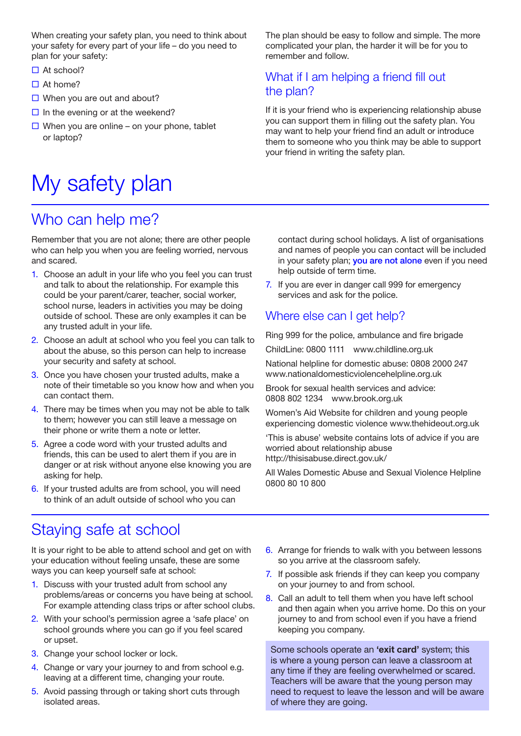When creating your safety plan, you need to think about your safety for every part of your life – do you need to plan for your safety:

- $\Box$  At school?
- $\Box$  At home?
- $\Box$  When you are out and about?
- $\Box$  In the evening or at the weekend?
- $\Box$  When you are online on your phone, tablet or laptop?

# My safety plan

### Who can help me?

Remember that you are not alone; there are other people who can help you when you are feeling worried, nervous and scared.

- 1. Choose an adult in your life who you feel you can trust and talk to about the relationship. For example this could be your parent/carer, teacher, social worker, school nurse, leaders in activities you may be doing outside of school. These are only examples it can be any trusted adult in your life.
- 2. Choose an adult at school who you feel you can talk to about the abuse, so this person can help to increase your security and safety at school.
- 3. Once you have chosen your trusted adults, make a note of their timetable so you know how and when you can contact them.
- 4. There may be times when you may not be able to talk to them; however you can still leave a message on their phone or write them a note or letter.
- 5. Agree a code word with your trusted adults and friends, this can be used to alert them if you are in danger or at risk without anyone else knowing you are asking for help.
- 6. If your trusted adults are from school, you will need to think of an adult outside of school who you can

### Staying safe at school

It is your right to be able to attend school and get on with your education without feeling unsafe, these are some ways you can keep yourself safe at school:

- 1. Discuss with your trusted adult from school any problems/areas or concerns you have being at school. For example attending class trips or after school clubs.
- 2. With your school's permission agree a 'safe place' on school grounds where you can go if you feel scared or upset.
- 3. Change your school locker or lock.
- 4. Change or vary your journey to and from school e.g. leaving at a different time, changing your route.
- 5. Avoid passing through or taking short cuts through isolated areas.

The plan should be easy to follow and simple. The more complicated your plan, the harder it will be for you to remember and follow.

### What if I am helping a friend fill out the plan?

If it is your friend who is experiencing relationship abuse you can support them in filling out the safety plan. You may want to help your friend find an adult or introduce them to someone who you think may be able to support your friend in writing the safety plan.

contact during school holidays. A list of organisations and names of people you can contact will be included in your safety plan; you are not alone even if you need help outside of term time.

7. If you are ever in danger call 999 for emergency services and ask for the police.

### Where else can I get help?

Ring 999 for the police, ambulance and fire brigade

ChildLine: 0800 1111 www.childline.org.uk

National helpline for domestic abuse: 0808 2000 247 www.nationaldomesticviolencehelpline.org.uk

Brook for sexual health services and advice: 0808 802 1234 www.brook.org.uk

Women's Aid Website for children and young people experiencing domestic violence www.thehideout.org.uk

'This is abuse' website contains lots of advice if you are worried about relationship abuse http://thisisabuse.direct.gov.uk/

All Wales Domestic Abuse and Sexual Violence Helpline 0800 80 10 800

- 6. Arrange for friends to walk with you between lessons so you arrive at the classroom safely.
- 7. If possible ask friends if they can keep you company on your journey to and from school.
- 8. Call an adult to tell them when you have left school and then again when you arrive home. Do this on your journey to and from school even if you have a friend keeping you company.

Some schools operate an **'exit card'** system; this is where a young person can leave a classroom at any time if they are feeling overwhelmed or scared. Teachers will be aware that the young person may need to request to leave the lesson and will be aware of where they are going.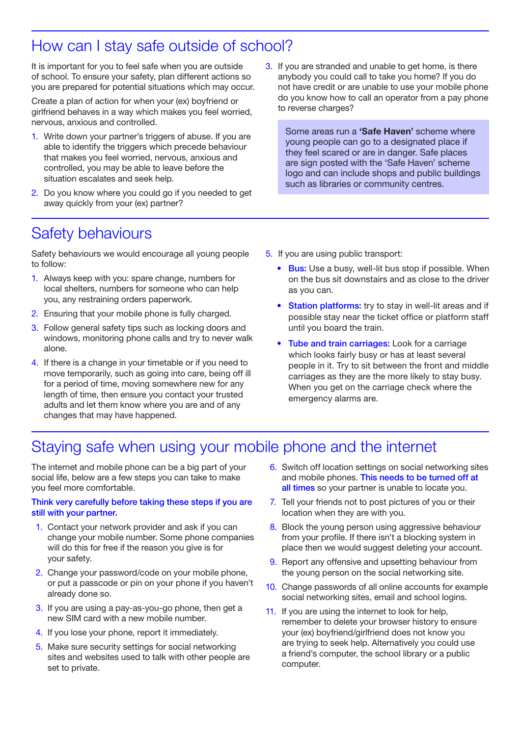### How can I stay safe outside of school?

It is important for you to feel safe when you are outside of school. To ensure your safety, plan different actions so you are prepared for potential situations which may occur.

Create a plan of action for when your (ex) boyfriend or girlfriend behaves in a way which makes you feel worried, nervous, anxious and controlled.

- 1. Write down your partner's triggers of abuse. If you are able to identify the triggers which precede behaviour that makes you feel worried, nervous, anxious and controlled, you may be able to leave before the situation escalates and seek help.
- 2. Do you know where you could go if you needed to get away quickly from your (ex) partner?

3. If you are stranded and unable to get home, is there anybody you could call to take you home? If you do not have credit or are unable to use your mobile phone do you know how to call an operator from a pay phone to reverse charges?

Some areas run a **'Safe Haven'** scheme where young people can go to a designated place if they feel scared or are in danger. Safe places are sign posted with the 'Safe Haven' scheme logo and can include shops and public buildings such as libraries or community centres.

### Safety behaviours

Safety behaviours we would encourage all young people to follow:

- 1. Always keep with you: spare change, numbers for local shelters, numbers for someone who can help you, any restraining orders paperwork.
- 2. Ensuring that your mobile phone is fully charged.
- 3. Follow general safety tips such as locking doors and windows, monitoring phone calls and try to never walk alone.
- 4. If there is a change in your timetable or if you need to move temporarily, such as going into care, being off ill for a period of time, moving somewhere new for any length of time, then ensure you contact your trusted adults and let them know where you are and of any changes that may have happened.
- 5. If you are using public transport:
	- Bus: Use a busy, well-lit bus stop if possible. When on the bus sit downstairs and as close to the driver as you can.
	- **Station platforms:** try to stay in well-lit areas and if possible stay near the ticket office or platform staff until you board the train.
	- Tube and train carriages: Look for a carriage which looks fairly busy or has at least several people in it. Try to sit between the front and middle carriages as they are the more likely to stay busy. When you get on the carriage check where the emergency alarms are.

### Staying safe when using your mobile phone and the internet

The internet and mobile phone can be a big part of your social life, below are a few steps you can take to make you feel more comfortable.

#### Think very carefully before taking these steps if you are still with your partner.

- 1. Contact your network provider and ask if you can change your mobile number. Some phone companies will do this for free if the reason you give is for your safety.
- 2. Change your password/code on your mobile phone, or put a passcode or pin on your phone if you haven't already done so.
- 3. If you are using a pay-as-you-go phone, then get a new SIM card with a new mobile number.
- 4. If you lose your phone, report it immediately.
- 5. Make sure security settings for social networking sites and websites used to talk with other people are set to private.
- 6. Switch off location settings on social networking sites and mobile phones. This needs to be turned off at all times so your partner is unable to locate you.
- 7. Tell your friends not to post pictures of you or their location when they are with you.
- 8. Block the young person using aggressive behaviour from your profile. If there isn't a blocking system in place then we would suggest deleting your account.
- 9. Report any offensive and upsetting behaviour from the young person on the social networking site.
- 10. Change passwords of all online accounts for example social networking sites, email and school logins.
- 11. If you are using the internet to look for help, remember to delete your browser history to ensure your (ex) boyfriend/girlfriend does not know you are trying to seek help. Alternatively you could use a friend's computer, the school library or a public computer.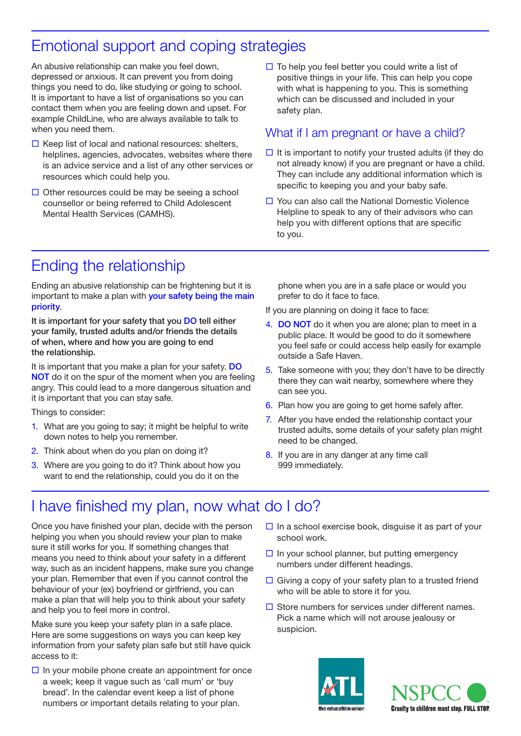# Emotional support and coping strategies

An abusive relationship can make you feel down, depressed or anxious. It can prevent you from doing things you need to do, like studying or going to school. It is important to have a list of organisations so you can contact them when you are feeling down and upset. For example ChildLine, who are always available to talk to when you need them.

- $\Box$  Keep list of local and national resources: shelters, helplines, agencies, advocates, websites where there is an advice service and a list of any other services or resources which could help you.
- $\Box$  Other resources could be may be seeing a school counsellor or being referred to Child Adolescent Mental Health Services (CAMHS).

 $\Box$  To help you feel better you could write a list of positive things in your life. This can help you cope with what is happening to you. This is something which can be discussed and included in your<br>aafsty plan safety plan.

*Pick someone you trust, preferably an adult, who can help you.*

### What if I am pregnant or have a child?

- $\square$  It is important to notify your trusted adults (if they do not already know) if you are pregnant or have a child. They can include any additional information which is mey can include any additional information which is<br>specific to keeping you and your baby safe.
- $\Box$  You can also call the National Domestic Violence Helpline to speak to any of their advisors who can help you with different options that are specific to you.

# Ending the relationship

Ending an abusive relationship can be frightening but it is important to make a plan with your safety being the main priority.

It is important for your safety that you DO tell either your family, trusted adults and/or friends the details of when, where and how you are going to end the relationship.

It is important that you make a plan for your safety. DO NOT do it on the spur of the moment when you are feeling angry. This could lead to a more dangerous situation and it is important that you can stay safe.

Things to consider:

- 1. What are you going to say; it might be helpful to write down notes to help you remember.
- 2. Think about when do you plan on doing it?
- 3. Where are you going to do it? Think about how you want to end the relationship, could you do it on the

phone when you are in a safe place or would you prefer to do it face to face.

your phone or social networking sites and telling sites and telling sites and telling sites and telling sites a

If you are planning on doing it face to face:

- 4. DO NOT do it when you are alone; plan to meet in a public place. It would be good to do it somewhere<br>You fool agfa.or.could access help easily for example you feel safe or could access help easily for example something sexual access the preach you do not pre-<br>outside a Safe Haven.
- 5. Take someone with you; they don't have to be directly there they can wait nearby, somewhere where they can see you.
- can see you.<br>6. Plan how you are going to get home safely after. you are going to get non
- 7. After you have ended the relationship contact your trusted adults, some details of your safety plan might heed to be changed. **When and why do it is a safety plan and why do it is a safety plan and why do it is a safety**
- 8. If you are in any danger at any time call 999 immediately. a safety plan can help you if you if you if you if you are or were seen you are or were seen you are or were see

#### I have finished my plan, now what do I do?  $p$

Once you have finished your plan, decide with the person helping you when you should review your plan to make sure it still works for you. If something changes that means you need to think about your safety in a different way, such as an incident happens, make sure you change your plan. Remember that even if you cannot control the behaviour of your (ex) boyfriend or girlfriend, you can make a plan that will help you to think about your safety and help you to feel more in control.

Make sure you keep your safety plan in a safe place. Here are some suggestions on ways you can keep key information from your safety plan safe but still have quick access to it:

 $\Box$  In your mobile phone create an appointment for once a week; keep it vague such as 'call mum' or 'buy bread'. In the calendar event keep a list of phone numbers or important details relating to your plan.

- $\Box$  In a school exercise book, disguise it as part of your school work. remember that it is not your fault if your fault if your boyfriend is behaving in an abusive way. The second is behaving in an abusive way. The second is behaving in an abusive way. The second is an abusive way. The second
- $\Box$  In your school planner, but putting emergency numbers under different headings. It is important to remember that you are responsible for your behaviour, you cannot control or
- $\Box$  Giving a copy of your safety plan to a trusted friend extrarged very or your existy plant to a macroal mondition.<br>Who will be able to store it for you.
- $\Box$  Store numbers for services under different names. Pick a name which will not arouse jealousy or suspicion.



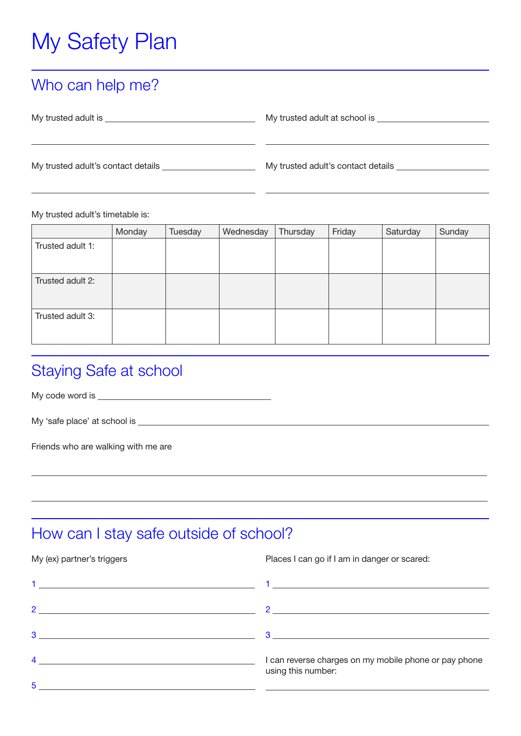# My Safety Plan

### Who can help me?

| My trusted adult is                | My trusted adult at school is      |
|------------------------------------|------------------------------------|
|                                    |                                    |
| My trusted adult's contact details | My trusted adult's contact details |
|                                    |                                    |

 $\overline{a}$ 

My trusted adult's timetable is:

 $\overline{a}$ 

|                  | Monday | Tuesday | Wednesday | Thursday | Friday | Saturday | Sunday |
|------------------|--------|---------|-----------|----------|--------|----------|--------|
| Trusted adult 1: |        |         |           |          |        |          |        |
|                  |        |         |           |          |        |          |        |
| Trusted adult 2: |        |         |           |          |        |          |        |
|                  |        |         |           |          |        |          |        |
| Trusted adult 3: |        |         |           |          |        |          |        |
|                  |        |         |           |          |        |          |        |

## Staying Safe at school

My code word is

 $\overline{a}$ 

 $\overline{a}$ 

My 'safe place' at school is

Friends who are walking with me are

### How can I stay safe outside of school?

#### My (ex) partner's triggers

Places I can go if I am in danger or scared:

|                | the contract of the contract of the contract of the contract of the contract of                                                                                                                                                                                                                                                                                                                                     |
|----------------|---------------------------------------------------------------------------------------------------------------------------------------------------------------------------------------------------------------------------------------------------------------------------------------------------------------------------------------------------------------------------------------------------------------------|
| $\mathcal{P}$  | 2 and $\overline{\phantom{a}}$ and $\overline{\phantom{a}}$ and $\overline{\phantom{a}}$ and $\overline{\phantom{a}}$ and $\overline{\phantom{a}}$ and $\overline{\phantom{a}}$ and $\overline{\phantom{a}}$ and $\overline{\phantom{a}}$ and $\overline{\phantom{a}}$ and $\overline{\phantom{a}}$ and $\overline{\phantom{a}}$ and $\overline{\phantom{a}}$ and $\overline{\phantom{a}}$ and $\overline{\phantom$ |
| 3              | $\overline{\mathbf{3}}$ . The contract of the contract of the contract of the contract of the contract of the contract of the contract of the contract of the contract of the contract of the contract of the contract of the contract of                                                                                                                                                                           |
| $\overline{4}$ | I can reverse charges on my mobile phone or pay phone<br>using this number:                                                                                                                                                                                                                                                                                                                                         |
| 5              |                                                                                                                                                                                                                                                                                                                                                                                                                     |